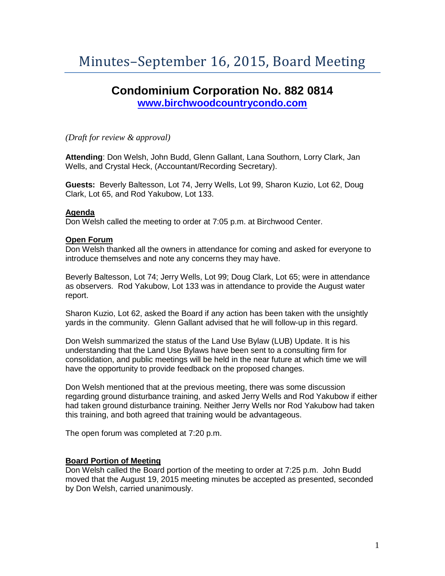# **Condominium Corporation No. 882 0814 [www.birchwoodcountrycondo.com](http://www.birchwoodcountrycondo.com/)**

*(Draft for review & approval)*

**Attending**: Don Welsh, John Budd, Glenn Gallant, Lana Southorn, Lorry Clark, Jan Wells, and Crystal Heck, (Accountant/Recording Secretary).

**Guests:** Beverly Baltesson, Lot 74, Jerry Wells, Lot 99, Sharon Kuzio, Lot 62, Doug Clark, Lot 65, and Rod Yakubow, Lot 133.

## **Agenda**

Don Welsh called the meeting to order at 7:05 p.m. at Birchwood Center.

## **Open Forum**

Don Welsh thanked all the owners in attendance for coming and asked for everyone to introduce themselves and note any concerns they may have.

Beverly Baltesson, Lot 74; Jerry Wells, Lot 99; Doug Clark, Lot 65; were in attendance as observers. Rod Yakubow, Lot 133 was in attendance to provide the August water report.

Sharon Kuzio, Lot 62, asked the Board if any action has been taken with the unsightly yards in the community. Glenn Gallant advised that he will follow-up in this regard.

Don Welsh summarized the status of the Land Use Bylaw (LUB) Update. It is his understanding that the Land Use Bylaws have been sent to a consulting firm for consolidation, and public meetings will be held in the near future at which time we will have the opportunity to provide feedback on the proposed changes.

Don Welsh mentioned that at the previous meeting, there was some discussion regarding ground disturbance training, and asked Jerry Wells and Rod Yakubow if either had taken ground disturbance training. Neither Jerry Wells nor Rod Yakubow had taken this training, and both agreed that training would be advantageous.

The open forum was completed at 7:20 p.m.

#### **Board Portion of Meeting**

Don Welsh called the Board portion of the meeting to order at 7:25 p.m. John Budd moved that the August 19, 2015 meeting minutes be accepted as presented, seconded by Don Welsh, carried unanimously.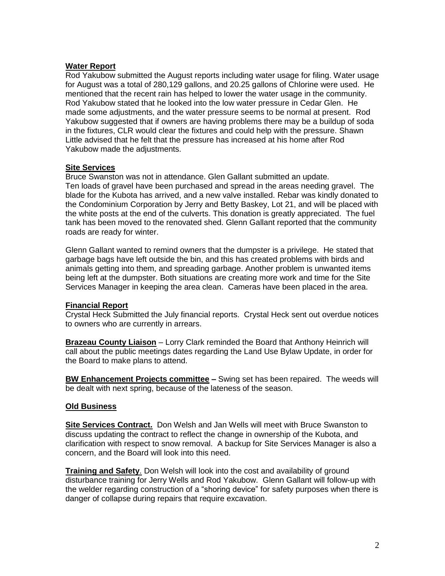# **Water Report**

Rod Yakubow submitted the August reports including water usage for filing. Water usage for August was a total of 280,129 gallons, and 20.25 gallons of Chlorine were used. He mentioned that the recent rain has helped to lower the water usage in the community. Rod Yakubow stated that he looked into the low water pressure in Cedar Glen. He made some adjustments, and the water pressure seems to be normal at present. Rod Yakubow suggested that if owners are having problems there may be a buildup of soda in the fixtures, CLR would clear the fixtures and could help with the pressure. Shawn Little advised that he felt that the pressure has increased at his home after Rod Yakubow made the adjustments.

## **Site Services**

Bruce Swanston was not in attendance. Glen Gallant submitted an update. Ten loads of gravel have been purchased and spread in the areas needing gravel. The blade for the Kubota has arrived, and a new valve installed. Rebar was kindly donated to the Condominium Corporation by Jerry and Betty Baskey, Lot 21, and will be placed with the white posts at the end of the culverts. This donation is greatly appreciated. The fuel tank has been moved to the renovated shed. Glenn Gallant reported that the community roads are ready for winter.

Glenn Gallant wanted to remind owners that the dumpster is a privilege. He stated that garbage bags have left outside the bin, and this has created problems with birds and animals getting into them, and spreading garbage. Another problem is unwanted items being left at the dumpster. Both situations are creating more work and time for the Site Services Manager in keeping the area clean. Cameras have been placed in the area.

# **Financial Report**

Crystal Heck Submitted the July financial reports. Crystal Heck sent out overdue notices to owners who are currently in arrears.

**Brazeau County Liaison** – Lorry Clark reminded the Board that Anthony Heinrich will call about the public meetings dates regarding the Land Use Bylaw Update, in order for the Board to make plans to attend.

**BW Enhancement Projects committee –** Swing set has been repaired. The weeds will be dealt with next spring, because of the lateness of the season.

# **Old Business**

**Site Services Contract.** Don Welsh and Jan Wells will meet with Bruce Swanston to discuss updating the contract to reflect the change in ownership of the Kubota, and clarification with respect to snow removal. A backup for Site Services Manager is also a concern, and the Board will look into this need.

**Training and Safety**. Don Welsh will look into the cost and availability of ground disturbance training for Jerry Wells and Rod Yakubow. Glenn Gallant will follow-up with the welder regarding construction of a "shoring device" for safety purposes when there is danger of collapse during repairs that require excavation.